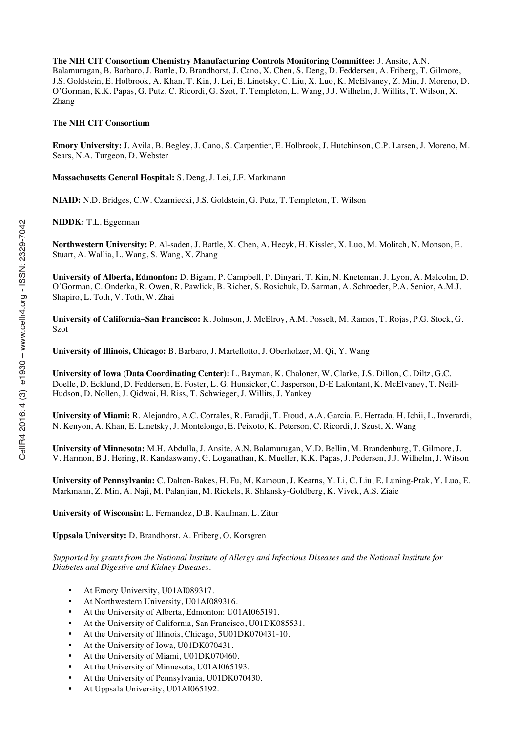**The NIH CIT Consortium Chemistry Manufacturing Controls Monitoring Committee:** J. Ansite, A.N. Balamurugan, B. Barbaro, J. Battle, D. Brandhorst, J. Cano, X. Chen, S. Deng, D. Feddersen, A. Friberg, T. Gilmore, J.S. Goldstein, E. Holbrook, A. Khan, T. Kin, J. Lei, E. Linetsky, C. Liu, X. Luo, K. McElvaney, Z. Min, J. Moreno, D. O'Gorman, K.K. Papas, G. Putz, C. Ricordi, G. Szot, T. Templeton, L. Wang, J.J. Wilhelm, J. Willits, T. Wilson, X. Zhang

#### **The NIH CIT Consortium**

**Emory University:** J. Avila, B. Begley, J. Cano, S. Carpentier, E. Holbrook, J. Hutchinson, C.P. Larsen, J. Moreno, M. Sears, N.A. Turgeon, D. Webster

**Massachusetts General Hospital:** S. Deng, J. Lei, J.F. Markmann

**NIAID:** N.D. Bridges, C.W. Czarniecki, J.S. Goldstein, G. Putz, T. Templeton, T. Wilson

**NIDDK:** T.L. Eggerman

**Northwestern University:** P. Al-saden, J. Battle, X. Chen, A. Hecyk, H. Kissler, X. Luo, M. Molitch, N. Monson, E. Stuart, A. Wallia, L. Wang, S. Wang, X. Zhang

**University of Alberta, Edmonton:** D. Bigam, P. Campbell, P. Dinyari, T. Kin, N. Kneteman, J. Lyon, A. Malcolm, D. O'Gorman, C. Onderka, R. Owen, R. Pawlick, B. Richer, S. Rosichuk, D. Sarman, A. Schroeder, P.A. Senior, A.M.J. Shapiro, L. Toth, V. Toth, W. Zhai

**University of California–San Francisco:** K. Johnson, J. McElroy, A.M. Posselt, M. Ramos, T. Rojas, P.G. Stock, G. Szot

**University of Illinois, Chicago:** B. Barbaro, J. Martellotto, J. Oberholzer, M. Qi, Y. Wang

**University of Iowa (Data Coordinating Center):** L. Bayman, K. Chaloner, W. Clarke, J.S. Dillon, C. Diltz, G.C. Doelle, D. Ecklund, D. Feddersen, E. Foster, L. G. Hunsicker, C. Jasperson, D-E Lafontant, K. McElvaney, T. Neill-Hudson, D. Nollen, J. Qidwai, H. Riss, T. Schwieger, J. Willits, J. Yankey

**University of Miami:** R. Alejandro, A.C. Corrales, R. Faradji, T. Froud, A.A. Garcia, E. Herrada, H. Ichii, L. Inverardi, N. Kenyon, A. Khan, E. Linetsky, J. Montelongo, E. Peixoto, K. Peterson, C. Ricordi, J. Szust, X. Wang

**University of Minnesota:** M.H. Abdulla, J. Ansite, A.N. Balamurugan, M.D. Bellin, M. Brandenburg, T. Gilmore, J. V. Harmon, B.J. Hering, R. Kandaswamy, G. Loganathan, K. Mueller, K.K. Papas, J. Pedersen, J.J. Wilhelm, J. Witson

**University of Pennsylvania:** C. Dalton-Bakes, H. Fu, M. Kamoun, J. Kearns, Y. Li, C. Liu, E. Luning-Prak, Y. Luo, E. Markmann, Z. Min, A. Naji, M. Palanjian, M. Rickels, R. Shlansky-Goldberg, K. Vivek, A.S. Ziaie

**University of Wisconsin:** L. Fernandez, D.B. Kaufman, L. Zitur

**Uppsala University:** D. Brandhorst, A. Friberg, O. Korsgren

*Supported by grants from the National Institute of Allergy and Infectious Diseases and the National Institute for Diabetes and Digestive and Kidney Diseases.*

- At Emory University, U01AI089317.
- At Northwestern University, U01AI089316.
- At the University of Alberta, Edmonton: U01AI065191.
- At the University of California, San Francisco, U01DK085531.
- At the University of Illinois, Chicago, 5U01DK070431-10.
- At the University of Iowa, U01DK070431.
- At the University of Miami, U01DK070460.
- At the University of Minnesota, U01AI065193.
- At the University of Pennsylvania, U01DK070430.
- At Uppsala University, U01AI065192.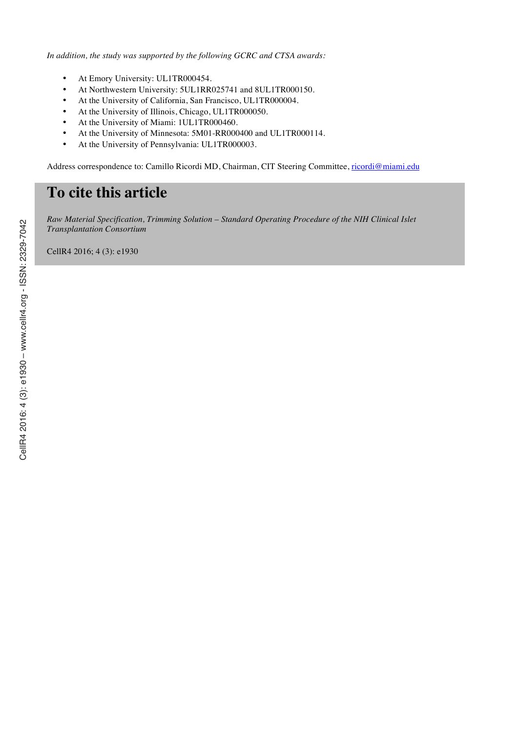*In addition, the study was supported by the following GCRC and CTSA awards:*

- At Emory University: UL1TR000454.
- At Northwestern University: 5UL1RR025741 and 8UL1TR000150.
- At the University of California, San Francisco, UL1TR000004.
- At the University of Illinois, Chicago, UL1TR000050.
- At the University of Miami: 1UL1TR000460.
- At the University of Minnesota: 5M01-RR000400 and UL1TR000114.
- At the University of Pennsylvania: UL1TR000003.

Address correspondence to: Camillo Ricordi MD, Chairman, CIT Steering Committee, ricordi@miami.edu

# **To cite this article**

*Raw Material Specification, Trimming Solution – Standard Operating Procedure of the NIH Clinical Islet Transplantation Consortium*

CellR4 2016; 4 (3): e1930